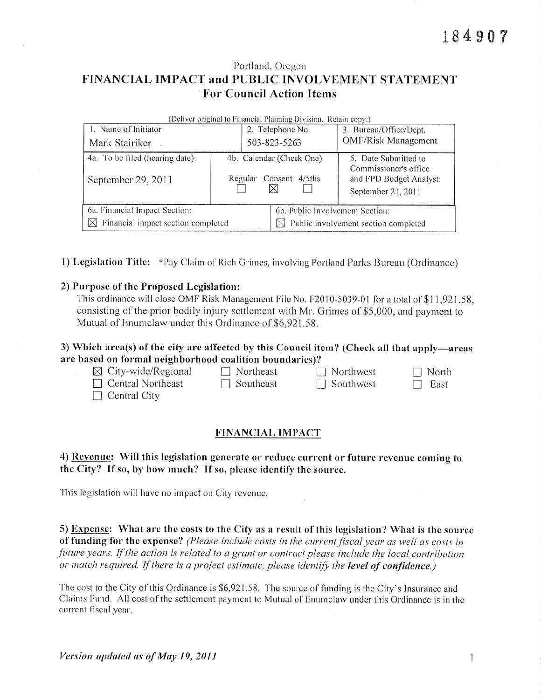## Portland, Oregon FINANCIAL IMPACT and PUBLIC INVOLVEMENT STATEMENT **For Council Action Items**

| (Deliver original to Financial Planning Division. Retain copy.) |              |                  |                                                                           |                                               |  |  |  |  |  |
|-----------------------------------------------------------------|--------------|------------------|---------------------------------------------------------------------------|-----------------------------------------------|--|--|--|--|--|
| 1. Name of Initiator                                            |              | 2. Telephone No. |                                                                           | 3. Bureau/Office/Dept.                        |  |  |  |  |  |
| Mark Stairiker                                                  | 503-823-5263 |                  | <b>OMF/Risk Management</b>                                                |                                               |  |  |  |  |  |
| 4a. To be filed (hearing date):                                 |              |                  | 4b. Calendar (Check One)<br>5. Date Submitted to<br>Commissioner's office |                                               |  |  |  |  |  |
| Regular<br>September 29, 2011                                   |              |                  | Consent 4/5ths                                                            | and FPD Budget Analyst:<br>September 21, 2011 |  |  |  |  |  |
| 6a. Financial Impact Section:                                   |              |                  | 6b. Public Involvement Section:                                           |                                               |  |  |  |  |  |
| Financial impact section completed<br>M                         |              |                  | $\boxtimes$ Public involvement section completed                          |                                               |  |  |  |  |  |

1) Legislation Title: \*Pay Claim of Rich Grimes, involving Portland Parks Bureau (Ordinance)

### 2) Purpose of the Proposed Legislation:

| This ordinance will close OMF Risk Management File No. F2010-5039-01 for a total of \$11,921.58, |
|--------------------------------------------------------------------------------------------------|
| consisting of the prior bodily injury settlement with Mr. Grimes of \$5,000, and payment to      |
| Mutual of Enumelaw under this Ordinance of \$6,921.58.                                           |

### 3) Which area(s) of the city are affected by this Council item? (Check all that apply—areas are based on formal neighborhood coalition boundaries)?

 $\boxtimes$  City-wide/Regional

- $\Box$  Central Northeast
- $\Box$  Central City
- $\Box$  Southeast

 $\Box$  Northeast

 $\Box$  Northwest  $\Box$  Southwest

 $\Box$  North

| 71.7 |  |
|------|--|
|------|--|

## FINANCIAL IMPACT

## 4) Revenue: Will this legislation generate or reduce current or future revenue coming to the City? If so, by how much? If so, please identify the source.

This legislation will have no impact on City revenue.

5) Expense: What are the costs to the City as a result of this legislation? What is the source of funding for the expense? (Please include costs in the current fiscal year as well as costs in future years. If the action is related to a grant or contract please include the local contribution or match required. If there is a project estimate, please identify the level of confidence.)

The cost to the City of this Ordinance is \$6,921.58. The source of funding is the City's Insurance and Claims Fund. All cost of the settlement payment to Mutual of Enumclaw under this Ordinance is in the current fiscal year.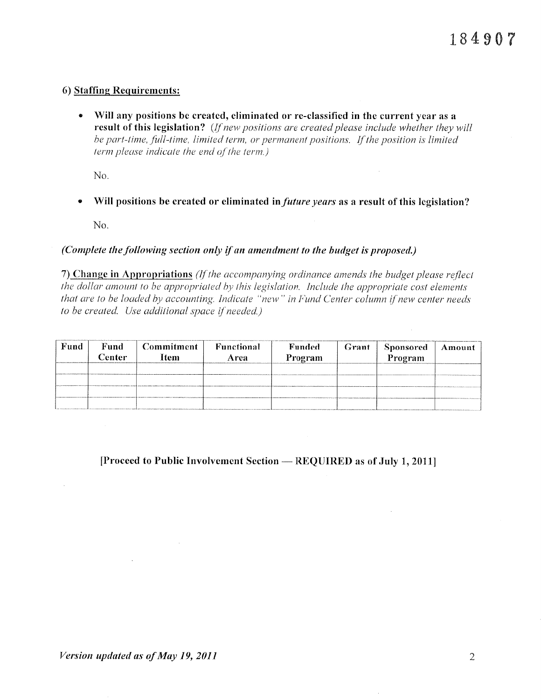## 6) Staffing Requirements:

 $\bullet$ Will any positions be created, eliminated or re-classified in the current year as a result of this legislation? (If new positions are created please include whether they will be part-time, full-time, limited term, or permanent positions. If the position is limited term please indicate the end of the term.)

No.

Will positions be created or eliminated in *future years* as a result of this legislation?  $\bullet$ 

No.

## (Complete the following section only if an amendment to the budget is proposed.)

7) Change in Appropriations (If the accompanying ordinance amends the budget please reflect the dollar amount to be appropriated by this legislation. Include the appropriate cost elements that are to be loaded by accounting. Indicate "new" in Fund Center column if new center needs to be created. Use additional space if needed.)

| Fund | Fund<br>Center | Commitment<br>Item | Functional<br>Area | Funded<br>Program | Grant | <b>Sponsored</b><br>Program | Amount |
|------|----------------|--------------------|--------------------|-------------------|-------|-----------------------------|--------|
|      |                |                    |                    |                   |       |                             |        |
|      |                |                    |                    |                   |       |                             |        |

## [Proceed to Public Involvement Section — REQUIRED as of July 1, 2011]

 $\mathbf{r}$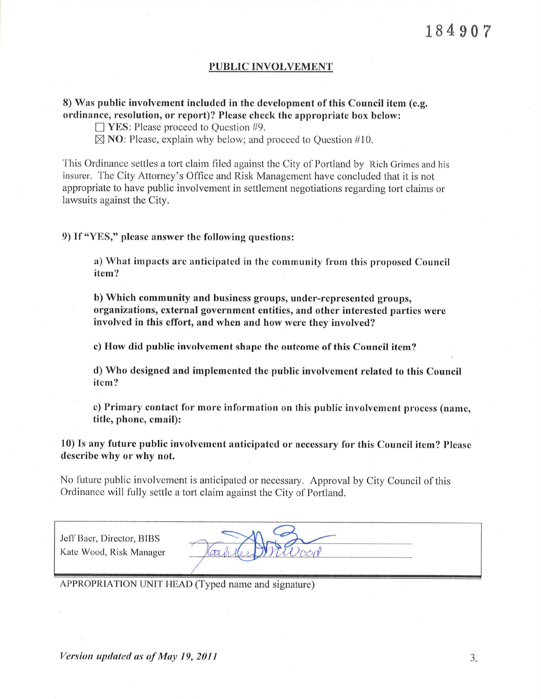#### PUBLIC INVOLVEMENT

## 8) Was public involvement included in the development of this Council item (e.g. ordinancc, rcsolution, or rcport)? Plcase check the appropriatc box below:

 $\Box$  YES: Please proceed to Question #9.

 $\boxtimes$  NO: Please, explain why below; and proceed to Question #10.

This Ordinance settles a tort claim filed against the City of Portland by Rich Grimes and his insurer. The City Attorney's Office and Risk Management have concluded that it is not appropriate to have public involvement in settlement negotiations regarding tort claims or lawsuits against the City.

9) If "YES," please answer the following questions:

a) What impacts are anticipated in the community from this proposed Council itcm?

b) Which community and busincss groups, undcr-reprcscntcd groups, organizations, external government entities, and other interested parties were involved in this effort, and when and how were they involved?

c) How did public involvement shape the outcome of this Council item?

tt) Who designed and implcmcnted the public involvement rclated to this Council itcm?

e) Primary contact for more information on this public involvement process (name, titlc, phonc, cmail):

10) Is any future public involvement anticipated or necessary for this Council item? Please describe why or why not.

No future public involvement is anticipatcd or necessary. Approval by City Council of this Ordinance will fully settle a tort claim against the City of Portland.

Jeff Baer, Director, BIBS Kate Wood, Risk Manager

APPROPRIATION UNIT HEAD (Typed name and signature)